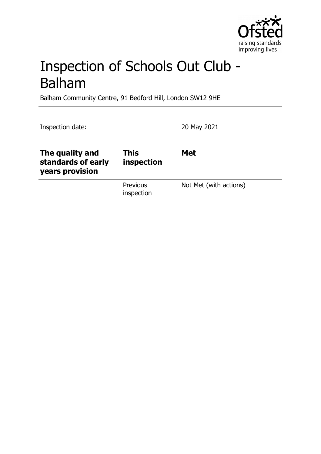

# Inspection of Schools Out Club - Balham

Balham Community Centre, 91 Bedford Hill, London SW12 9HE

Inspection date: 20 May 2021

| The quality and<br>standards of early<br>years provision | This<br>inspection     | <b>Met</b>             |
|----------------------------------------------------------|------------------------|------------------------|
|                                                          | Previous<br>inspection | Not Met (with actions) |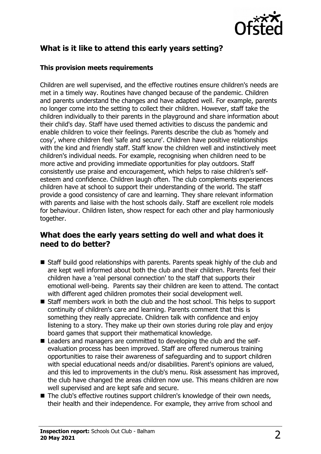

# **What is it like to attend this early years setting?**

#### **This provision meets requirements**

Children are well supervised, and the effective routines ensure children's needs are met in a timely way. Routines have changed because of the pandemic. Children and parents understand the changes and have adapted well. For example, parents no longer come into the setting to collect their children. However, staff take the children individually to their parents in the playground and share information about their child's day. Staff have used themed activities to discuss the pandemic and enable children to voice their feelings. Parents describe the club as 'homely and cosy', where children feel 'safe and secure'. Children have positive relationships with the kind and friendly staff. Staff know the children well and instinctively meet children's individual needs. For example, recognising when children need to be more active and providing immediate opportunities for play outdoors. Staff consistently use praise and encouragement, which helps to raise children's selfesteem and confidence. Children laugh often. The club complements experiences children have at school to support their understanding of the world. The staff provide a good consistency of care and learning. They share relevant information with parents and liaise with the host schools daily. Staff are excellent role models for behaviour. Children listen, show respect for each other and play harmoniously together.

### **What does the early years setting do well and what does it need to do better?**

- Staff build good relationships with parents. Parents speak highly of the club and are kept well informed about both the club and their children. Parents feel their children have a 'real personal connection' to the staff that supports their emotional well-being. Parents say their children are keen to attend. The contact with different aged children promotes their social development well.
- $\blacksquare$  Staff members work in both the club and the host school. This helps to support continuity of children's care and learning. Parents comment that this is something they really appreciate. Children talk with confidence and enjoy listening to a story. They make up their own stories during role play and enjoy board games that support their mathematical knowledge.
- Leaders and managers are committed to developing the club and the selfevaluation process has been improved. Staff are offered numerous training opportunities to raise their awareness of safeguarding and to support children with special educational needs and/or disabilities. Parent's opinions are valued, and this led to improvements in the club's menu. Risk assessment has improved, the club have changed the areas children now use. This means children are now well supervised and are kept safe and secure.
- $\blacksquare$  The club's effective routines support children's knowledge of their own needs, their health and their independence. For example, they arrive from school and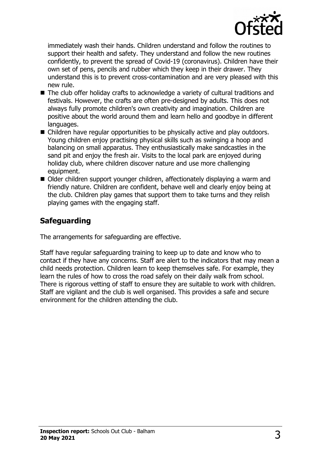

immediately wash their hands. Children understand and follow the routines to support their health and safety. They understand and follow the new routines confidently, to prevent the spread of Covid-19 (coronavirus). Children have their own set of pens, pencils and rubber which they keep in their drawer. They understand this is to prevent cross-contamination and are very pleased with this new rule.

- $\blacksquare$  The club offer holiday crafts to acknowledge a variety of cultural traditions and festivals. However, the crafts are often pre-designed by adults. This does not always fully promote children's own creativity and imagination. Children are positive about the world around them and learn hello and goodbye in different languages.
- $\blacksquare$  Children have regular opportunities to be physically active and play outdoors. Young children enjoy practising physical skills such as swinging a hoop and balancing on small apparatus. They enthusiastically make sandcastles in the sand pit and enjoy the fresh air. Visits to the local park are enjoyed during holiday club, where children discover nature and use more challenging equipment.
- Older children support younger children, affectionately displaying a warm and friendly nature. Children are confident, behave well and clearly enjoy being at the club. Children play games that support them to take turns and they relish playing games with the engaging staff.

## **Safeguarding**

The arrangements for safeguarding are effective.

Staff have regular safeguarding training to keep up to date and know who to contact if they have any concerns. Staff are alert to the indicators that may mean a child needs protection. Children learn to keep themselves safe. For example, they learn the rules of how to cross the road safely on their daily walk from school. There is rigorous vetting of staff to ensure they are suitable to work with children. Staff are vigilant and the club is well organised. This provides a safe and secure environment for the children attending the club.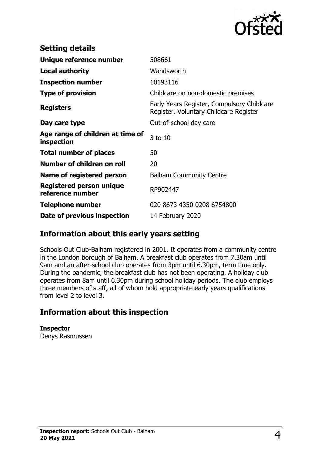

| <b>Setting details</b>                              |                                                                                      |  |
|-----------------------------------------------------|--------------------------------------------------------------------------------------|--|
| Unique reference number                             | 508661                                                                               |  |
| <b>Local authority</b>                              | Wandsworth                                                                           |  |
| <b>Inspection number</b>                            | 10193116                                                                             |  |
| <b>Type of provision</b>                            | Childcare on non-domestic premises                                                   |  |
| <b>Registers</b>                                    | Early Years Register, Compulsory Childcare<br>Register, Voluntary Childcare Register |  |
| Day care type                                       | Out-of-school day care                                                               |  |
| Age range of children at time of<br>inspection      | 3 to 10                                                                              |  |
| <b>Total number of places</b>                       | 50                                                                                   |  |
| Number of children on roll                          | 20                                                                                   |  |
| Name of registered person                           | <b>Balham Community Centre</b>                                                       |  |
| <b>Registered person unique</b><br>reference number | RP902447                                                                             |  |
| <b>Telephone number</b>                             | 020 8673 4350 0208 6754800                                                           |  |
| Date of previous inspection                         | 14 February 2020                                                                     |  |

## **Information about this early years setting**

Schools Out Club-Balham registered in 2001. It operates from a community centre in the London borough of Balham. A breakfast club operates from 7.30am until 9am and an after-school club operates from 3pm until 6.30pm, term time only. During the pandemic, the breakfast club has not been operating. A holiday club operates from 8am until 6.30pm during school holiday periods. The club employs three members of staff, all of whom hold appropriate early years qualifications from level 2 to level 3.

## **Information about this inspection**

**Inspector** Denys Rasmussen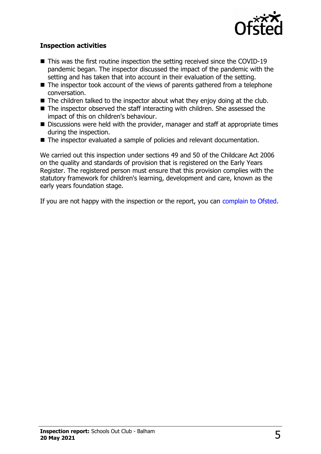

#### **Inspection activities**

- $\blacksquare$  This was the first routine inspection the setting received since the COVID-19 pandemic began. The inspector discussed the impact of the pandemic with the setting and has taken that into account in their evaluation of the setting.
- $\blacksquare$  The inspector took account of the views of parents gathered from a telephone conversation.
- $\blacksquare$  The children talked to the inspector about what they enjoy doing at the club.
- $\blacksquare$  The inspector observed the staff interacting with children. She assessed the impact of this on children's behaviour.
- $\blacksquare$  Discussions were held with the provider, manager and staff at appropriate times during the inspection.
- The inspector evaluated a sample of policies and relevant documentation.

We carried out this inspection under sections 49 and 50 of the Childcare Act 2006 on the quality and standards of provision that is registered on the Early Years Register. The registered person must ensure that this provision complies with the statutory framework for children's learning, development and care, known as the early years foundation stage.

If you are not happy with the inspection or the report, you can [complain to Ofsted.](http://www.gov.uk/complain-ofsted-report)